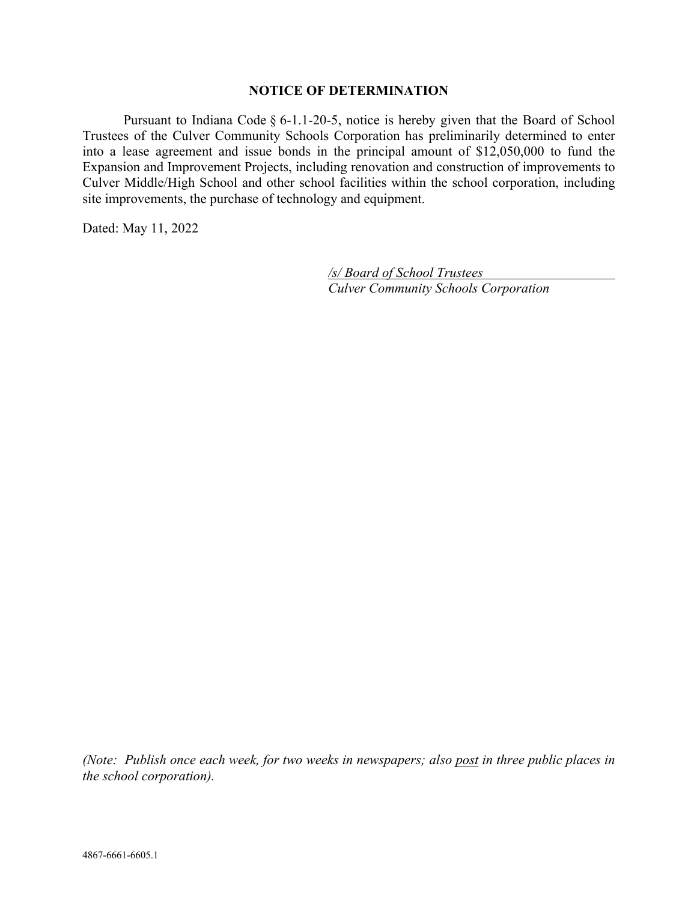## **NOTICE OF DETERMINATION**

Pursuant to Indiana Code § 6-1.1-20-5, notice is hereby given that the Board of School Trustees of the Culver Community Schools Corporation has preliminarily determined to enter into a lease agreement and issue bonds in the principal amount of \$12,050,000 to fund the Expansion and Improvement Projects, including renovation and construction of improvements to Culver Middle/High School and other school facilities within the school corporation, including site improvements, the purchase of technology and equipment.

Dated: May 11, 2022

*/s/ Board of School Trustees Culver Community Schools Corporation*

*(Note: Publish once each week, for two weeks in newspapers; also post in three public places in the school corporation).*